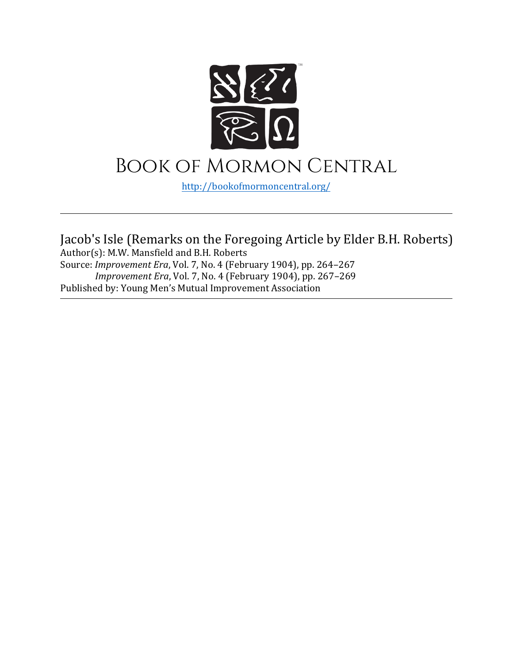

# Book of Mormon Central

[http://bookofmormoncentral.](http://bookofmormoncentral.com/)org/

Jacob's Isle (Remarks on the Foregoing Article by Elder B.H. Roberts) Author(s): M.W. Mansfield and B.H. Roberts Source: *Improvement Era*, Vol. 7, No. 4 (February 1904), pp. 264–267 *Improvement Era*, Vol. 7, No. 4 (February 1904), pp. 267–269 Published by: Young Men's Mutual Improvement Association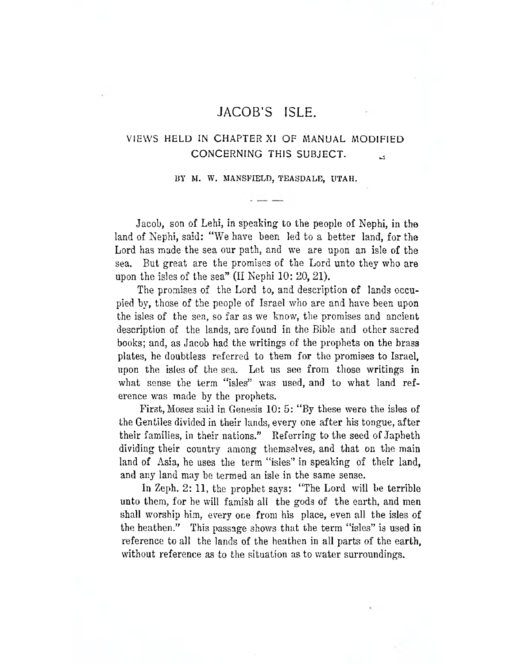# **JACOB'S ISLE.**

# **VIEWS HELD IN CHAPTER XI OF MANUAL MODIFIED CONCERNING THIS SUBJECT. ^**

**BY M. W. MANSFIELD, TEASDALE, UTAH.**

Jacob, son of Lehi, in speaking to the people of Nephi, in the land of Nephi, said: "We have been led to a better land, for the Lord has made the sea our path, and we are upon an isle of the sea. But great are the promises of the Lord unto they who are upon the isles of the sea" (If Nephi 10: 20, 21).

The promises of the Lord to, and description of lands occupied by, those of the people of Israel who are and have been upon the isles of the sea, so far as we know, the promises and ancient description of the lands, are found in the Bible and other sacred books; and, as Jacob had the writings of the prophets on the brass plates, he doubtless referred to them for the promises to Israel, upon the isles of the sea. Let us see from those writings in what sense the term "isles" was used, and to what land reference was made by the prophets.

First, Moses said in Genesis 10: 5: "By these were the isles of the Gentiles divided in their lands, every one after his tongue, after their families, in their nations." Referring to the seed of Japheth dividing their country among themselves, and that on the main land of Asia, he uses the term "isles" in speaking of their land, and any land may he termed an isle in the same sense.

In Zeph. 2: 11, the prophet says: "The Lord will be terrible unto them, for he will famish all the gods of the earth, and men shall worship him, every one from his place, even all the isles of the heathen." This passage shows that the term "isles" is used in reference to all the lands of the heathen in all parts of the earth, without reference as to the situation as to water surroundings.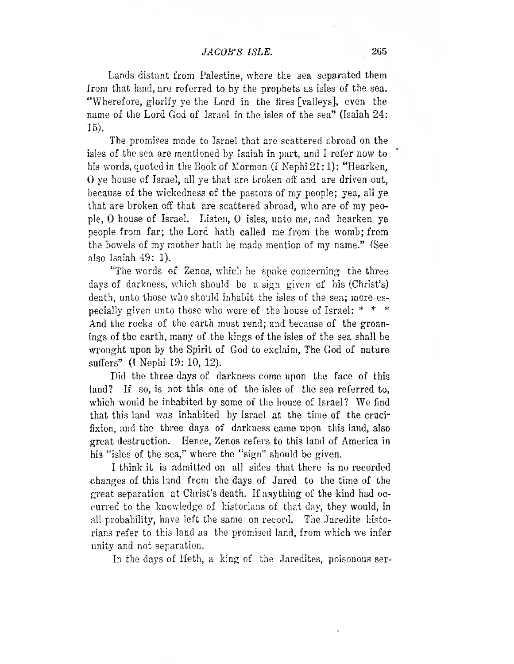Lands distant from Palestine, where the sea separated them from that land, are referred to by the prophets as isles of the sea. "Wherefore, glorify ye the Lord in the fires [valleys], even the name of the Lord God of Israel in the isles of the sea" (Isaiah 24: 15).

The promises made to Israel that are scattered abroad on the isles of the sea are mentioned by Isaiah in part, and I refer now to his words, quoted in the Book of Mormon (I Nephi 21:1): "Hearken, 0 ye house of Israel, all ye that are broken off and are driven out, because of the wickedness of the pastors of my people; yea, all ye that are broken off that are scattered abroad, who are of my people, 0 house of Israel. Listen, 0 isles, unto me, and hearken ye people from far; the Lord hath called me from the womb; from the bowels of my mother hath he made mention of my name." (See also Isaiah 49: 1).

"The words of Zenos, which he spake concerning the three days of darkness, which should be a sign given of his (Christ's) death, unto those who should inhabit the isles of the sea; more especially given unto those who were of the house of Israel: \* *\** \* And the rocks of the earth must rend; and because of the groanings of the earth, many of the kings of the isles of the sea shall be wrought upon by the Spirit of God to exclaim, The God of nature suffers" (I Nephi 19: 10, 12).

Did the three days of darkness come upon the face of this land? If so, is not this one of the isles of the sea referred to, which would be inhabited by some of the house of Israel? We find that this land was inhabited by Israel at the time of the crucifixion, and the three days of darkness came upon this land, also great destruction. Hence, Zenos refers to this land of America in his "isles of the sea," where the "sign" should be given.

I think it is admitted on all sides that there is no recorded changes of this land from the days of Jared to the time of the great separation at Christ's death. If anything of the kind had occurred to the knowledge of historians of that day, they would, in all probability, have left the same on record. The Jaredite historians refer to this land as the promised land, from which we infer unity and not separation.

In the days of Heth, a king of the Jaredites, poisonous ser-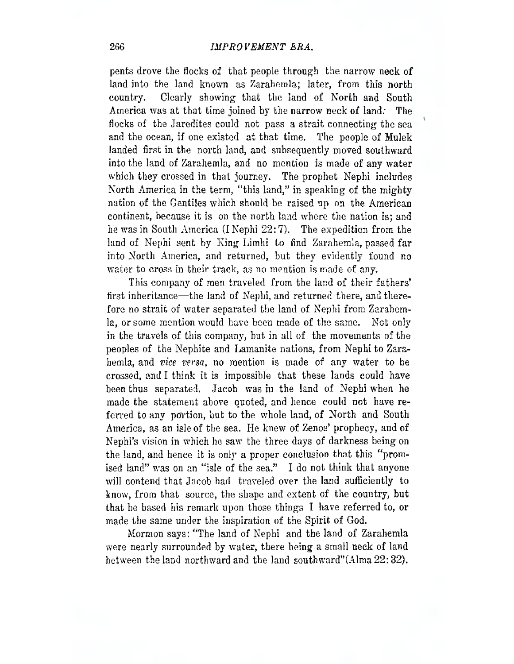## **266** *IMPROVEMENT ERA.*

pents drove the flocks of that people through the narrow neck of land into the land known as Zarahemla; later, from this north country. Clearly showing that the land of North and South America was at that time joined by the narrow neck of land: The flocks of the Jaredites could not pass a strait connecting the sea and the ocean, if one existed at that time. The people of Mulek landed first in the north land, and subsequently moved southward into the land of Zarahemla, and no mention is made of any water which they crossed in that journey. The prophet Nephi includes North America in the term, "this land," in speaking of the mighty nation of the Gentiles which should be raised up on the American continent, because it is on the north land where the nation is; and he was in South America (INephi  $22:7$ ). The expedition from the land of Nephi sent by King Limhi to find Zarahemla, passed far into North America, and returned, but they evidently found no water to cross in their track, as no mention is made of any.

This company of men traveled from the land of their fathers' first inheritance—the land of Nephi, and returned there, and therefore no strait of water separated the land of Nephi from Zarahemla, or some mention would have been made of the same. Not only in the travels of this company, but in all of the movements of the peoples of the Nephite and Lamanite nations, from Nephi to Zarahemla, and *vice versa*, no mention is made of any water to be crossed, and I think it is impossible that these lands could have been thus separated. Jacob was in the land of Nephi when he made the statement above quoted, and hence could not have referred to any portion, but to the whole land, of North and South America, as an isle of the sea. He knew of Zenos' prophecy, and of Nephi's vision in which he saw the three days of darkness being on the land, and hence it is only a proper conclusion that this "promised land" was on an "isle of the sea." I do not think that anyone will contend that Jacob bad traveled over the land sufficiently to know, from that source, the shape and extent of the country, but that he based his remark upon those things I have referred to, or made the same under the inspiration of the Spirit of God.

Mormon says: "The land of Nephi and the land of Zarahemla were nearly surrounded by water, there being a small neck of land between the land northward and the land southward"(Alma22:32).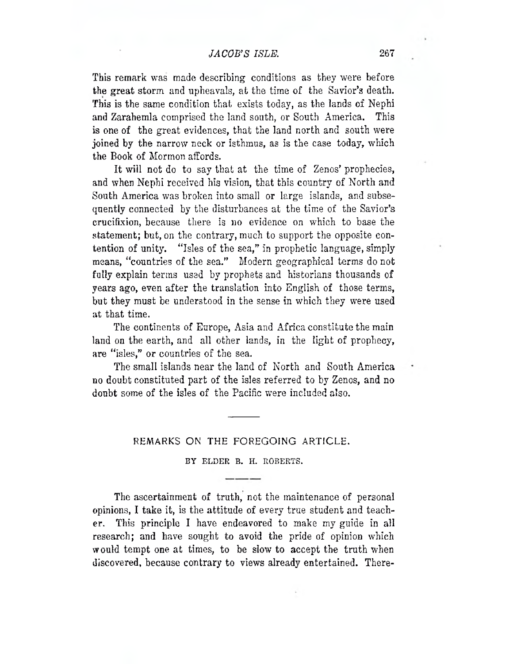# *JACOB'S ISLE.* **267**

This remark was made describing conditions as they were before the great storm and upheavals, at the time of the Savior's death. This is the same condition that exists today, as the lands of Nephi and Zarahemla comprised the land south, or South America. This is one of the great evidences, that the land north and south were joined by the narrow neck or isthmus, as is the case today, which the Book of Mormon affords.

It will not do to say that at the time of Zenos' prophecies, and when Nephi received his vision, that this country of North and South America was broken into small or large islands, and subsequently connected by the disturbances at the time of the Savior's crucifixion, because there is no evidence on which to base the statement; but, on the contrary, much to support the opposite contention of unity. "Isles of the sea," in prophetic language, simply means, "countries of the sea." Modern geographical terms do not fully explain terms used by prophets and historians thousands of years ago, even after the translation into English of those terms, but they must be understood in the sense in which they were used at that time.

The continents of Europe, Asia and Africa constitute the main land on the earth, and all other lands, in the light of prophecy, are "isles," or countries of the sea.

The small islands near the land of North and South America no doubt constituted part of the isles referred to by Zenos, and no doubt some of the isles of the Pacific were included also.

#### **REMARKS ON THE FOREGOING ARTICLE.**

## **BY ELDER B. H. ROBERTS.**

The ascertainment of truth, not the maintenance of personal opinions, I take it, is the attitude of every true student and teacher. This principle I have endeavored to make my guide in all research; and have sought to avoid the pride of opinion which would tempt one at times, to be slow to accept the truth when discovered, because contrary to views already entertained. There-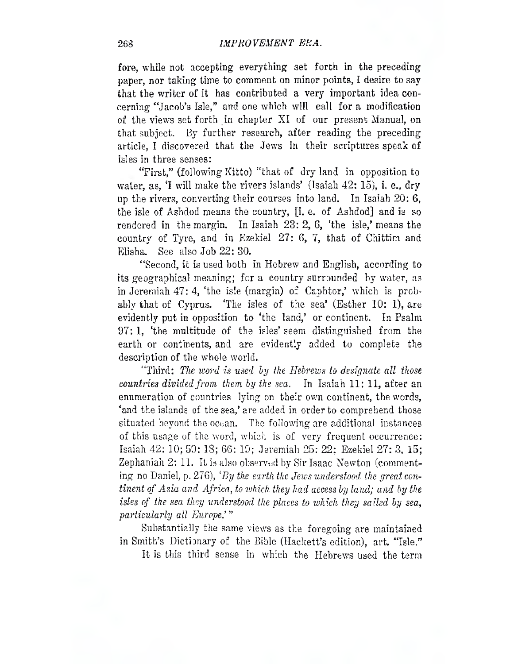fore, while not accepting everything set forth in the preceding paper, nor taking time to comment on minor points, I desire to say that the writer of it has contributed a very important idea concerning "Jacob's Isle," and one which will call for a modification of the views set forth in chapter XI of our present Manual, on that subject. By further research, after reading the preceding article, I discovered that the Jews in their scriptures speak of isles in three senses:

"First," (following Xitto) "that of dry land in opposition to water, as, 'I will make the rivers islands' (Isaiah 42: 15), i. e., dry up the rivers, converting their courses into land. In Isaiah 20: 6, the isle of Ashdod means the country, [i. e. of Ashdod] and is so rendered in the margin. In Isaiah  $23:2, 6$ , 'the isle,' means the country of Tyre, and in Ezekiel 27: 6, 7, that of Chittim and Elisha. See also Job 22: 30.

"Second, it is used both in Hebrew and English, according to its geographical meaning; for a country surrounded by water, as in Jeremiah  $47:4$ , 'the isle (margin) of Caphtor,' which is probably that of Cyprus. 'The Isles of the sea' (Esther 10: 1), are evidently put in opposition to 'the land,' or continent. In Psalm 97: 1, 'the multitude of the isles' seem distinguished from the earth or continents, and are evidently added to complete the description of the whole world.

"Third: *The word is used by the Hebrews to designate all those countries divided from them by the sea.* In Isaiah 11: 11, after an enumeration of countries lying on their own continent, the words, 'and the islands of the sea,' are added in order to comprehend those situated beyond the ocean. The following are additional instances of this usage of the word, which is of very frequent occurrence: Isaiah 42: 10; 59: 18; 66: 19; Jeremiah 25: 22; Ezekiel 27: 3, 15; Zephaniah 2: 11. It is also observed by Sir Isaac Newton (commenting no Daniel, p. 276), *'By the earth the Jews understood the great continent of Asia and Africa, to which, they had access by land; and by the isles cf the sea they understood the places to which they sailed by sea, particularly all Europe ' "*

Substantially the same views as the foregoing are maintained in Smith's Dictionary of the Bible (Hackett's edition), art. "Isle."

It is this third sense in which the Hebrews used the term